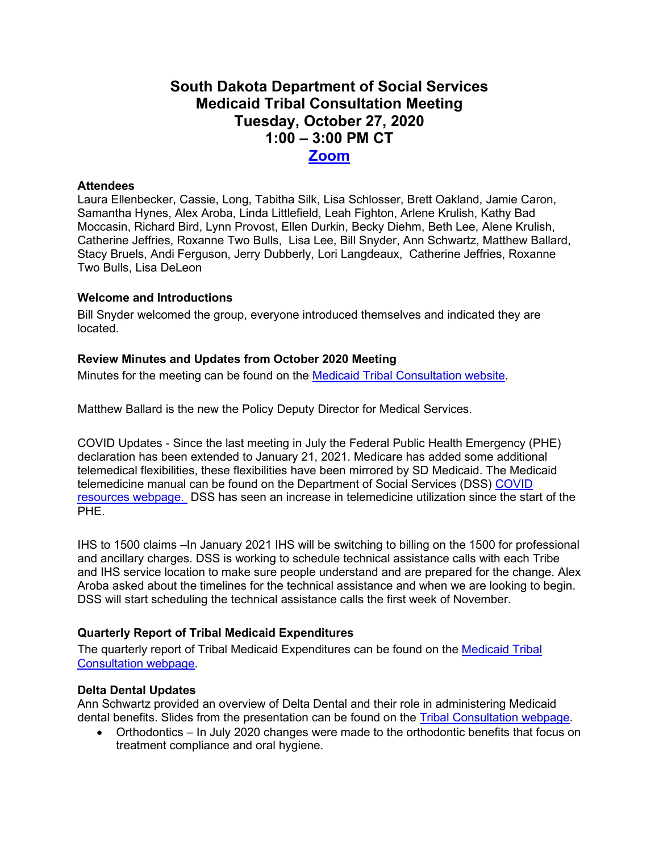# **South Dakota Department of Social Services Medicaid Tribal Consultation Meeting Tuesday, October 27, 2020 1:00 – 3:00 PM CT [Zoom](https://state-sd.zoom.us/j/99386538926?pwd=V2IyRExuTlZ3b2gzelk0RGREOFRvUT09)**

## **Attendees**

Laura Ellenbecker, Cassie, Long, Tabitha Silk, Lisa Schlosser, Brett Oakland, Jamie Caron, Samantha Hynes, Alex Aroba, Linda Littlefield, Leah Fighton, Arlene Krulish, Kathy Bad Moccasin, Richard Bird, Lynn Provost, Ellen Durkin, Becky Diehm, Beth Lee, Alene Krulish, Catherine Jeffries, Roxanne Two Bulls, Lisa Lee, Bill Snyder, Ann Schwartz, Matthew Ballard, Stacy Bruels, Andi Ferguson, Jerry Dubberly, Lori Langdeaux, Catherine Jeffries, Roxanne Two Bulls, Lisa DeLeon

## **Welcome and Introductions**

Bill Snyder welcomed the group, everyone introduced themselves and indicated they are located.

## **Review Minutes and Updates from October 2020 Meeting**

Minutes for the meeting can be found on the [Medicaid Tribal Consultation website.](https://dss.sd.gov/medicaid/generalinfo/tribalconsultation.aspx)

Matthew Ballard is the new the Policy Deputy Director for Medical Services.

COVID Updates - Since the last meeting in July the Federal Public Health Emergency (PHE) declaration has been extended to January 21, 2021. Medicare has added some additional telemedical flexibilities, these flexibilities have been mirrored by SD Medicaid. The Medicaid telemedicine manual can be found on the Department of Social Services (DSS) [COVID](https://dss.sd.gov/keyresources/recentnews.aspx)  [resources webpage.](https://dss.sd.gov/keyresources/recentnews.aspx) DSS has seen an increase in telemedicine utilization since the start of the PHE.

IHS to 1500 claims –In January 2021 IHS will be switching to billing on the 1500 for professional and ancillary charges. DSS is working to schedule technical assistance calls with each Tribe and IHS service location to make sure people understand and are prepared for the change. Alex Aroba asked about the timelines for the technical assistance and when we are looking to begin. DSS will start scheduling the technical assistance calls the first week of November.

# **Quarterly Report of Tribal Medicaid Expenditures**

The quarterly report of Tribal Medicaid Expenditures can be found on the [Medicaid Tribal](https://dss.sd.gov/medicaid/generalinfo/tribalconsultation.aspx)  [Consultation webpage.](https://dss.sd.gov/medicaid/generalinfo/tribalconsultation.aspx)

#### **Delta Dental Updates**

Ann Schwartz provided an overview of Delta Dental and their role in administering Medicaid dental benefits. Slides from the presentation can be found on the Tribal Consultation webpage.

• Orthodontics – In July 2020 changes were made to the orthodontic benefits that focus on treatment compliance and oral hygiene.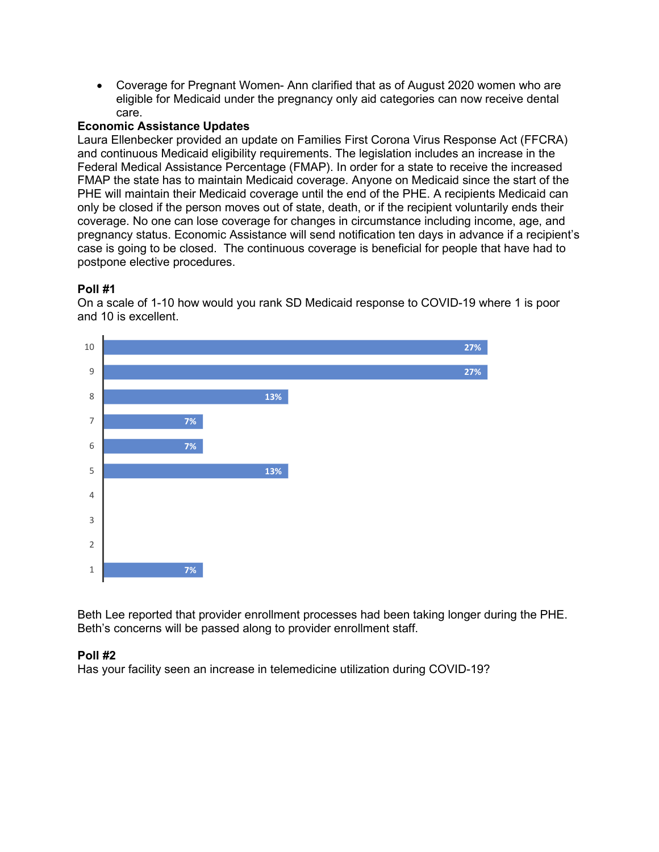• Coverage for Pregnant Women- Ann clarified that as of August 2020 women who are eligible for Medicaid under the pregnancy only aid categories can now receive dental care.

## **Economic Assistance Updates**

Laura Ellenbecker provided an update on Families First Corona Virus Response Act (FFCRA) and continuous Medicaid eligibility requirements. The legislation includes an increase in the Federal Medical Assistance Percentage (FMAP). In order for a state to receive the increased FMAP the state has to maintain Medicaid coverage. Anyone on Medicaid since the start of the PHE will maintain their Medicaid coverage until the end of the PHE. A recipients Medicaid can only be closed if the person moves out of state, death, or if the recipient voluntarily ends their coverage. No one can lose coverage for changes in circumstance including income, age, and pregnancy status. Economic Assistance will send notification ten days in advance if a recipient's case is going to be closed. The continuous coverage is beneficial for people that have had to postpone elective procedures.

# **Poll #1**

On a scale of 1-10 how would you rank SD Medicaid response to COVID-19 where 1 is poor and 10 is excellent.



Beth Lee reported that provider enrollment processes had been taking longer during the PHE. Beth's concerns will be passed along to provider enrollment staff.

# **Poll #2**

Has your facility seen an increase in telemedicine utilization during COVID-19?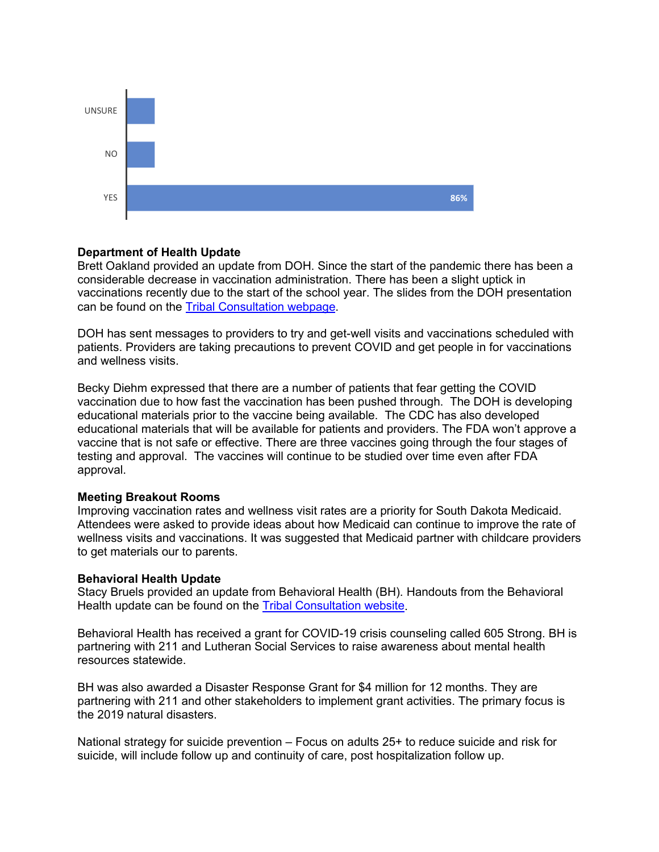

#### **Department of Health Update**

Brett Oakland provided an update from DOH. Since the start of the pandemic there has been a considerable decrease in vaccination administration. There has been a slight uptick in vaccinations recently due to the start of the school year. The slides from the DOH presentation can be found on the [Tribal Consultation webpage.](https://dss.sd.gov/medicaid/generalinfo/tribalconsultation.aspx)

DOH has sent messages to providers to try and get-well visits and vaccinations scheduled with patients. Providers are taking precautions to prevent COVID and get people in for vaccinations and wellness visits.

Becky Diehm expressed that there are a number of patients that fear getting the COVID vaccination due to how fast the vaccination has been pushed through. The DOH is developing educational materials prior to the vaccine being available. The CDC has also developed educational materials that will be available for patients and providers. The FDA won't approve a vaccine that is not safe or effective. There are three vaccines going through the four stages of testing and approval. The vaccines will continue to be studied over time even after FDA approval.

#### **Meeting Breakout Rooms**

Improving vaccination rates and wellness visit rates are a priority for South Dakota Medicaid. Attendees were asked to provide ideas about how Medicaid can continue to improve the rate of wellness visits and vaccinations. It was suggested that Medicaid partner with childcare providers to get materials our to parents.

#### **Behavioral Health Update**

Stacy Bruels provided an update from Behavioral Health (BH). Handouts from the Behavioral Health update can be found on the [Tribal Consultation website.](https://dss.sd.gov/medicaid/generalinfo/tribalconsultation.aspx)

Behavioral Health has received a grant for COVID-19 crisis counseling called 605 Strong. BH is partnering with 211 and Lutheran Social Services to raise awareness about mental health resources statewide.

BH was also awarded a Disaster Response Grant for \$4 million for 12 months. They are partnering with 211 and other stakeholders to implement grant activities. The primary focus is the 2019 natural disasters.

National strategy for suicide prevention – Focus on adults 25+ to reduce suicide and risk for suicide, will include follow up and continuity of care, post hospitalization follow up.